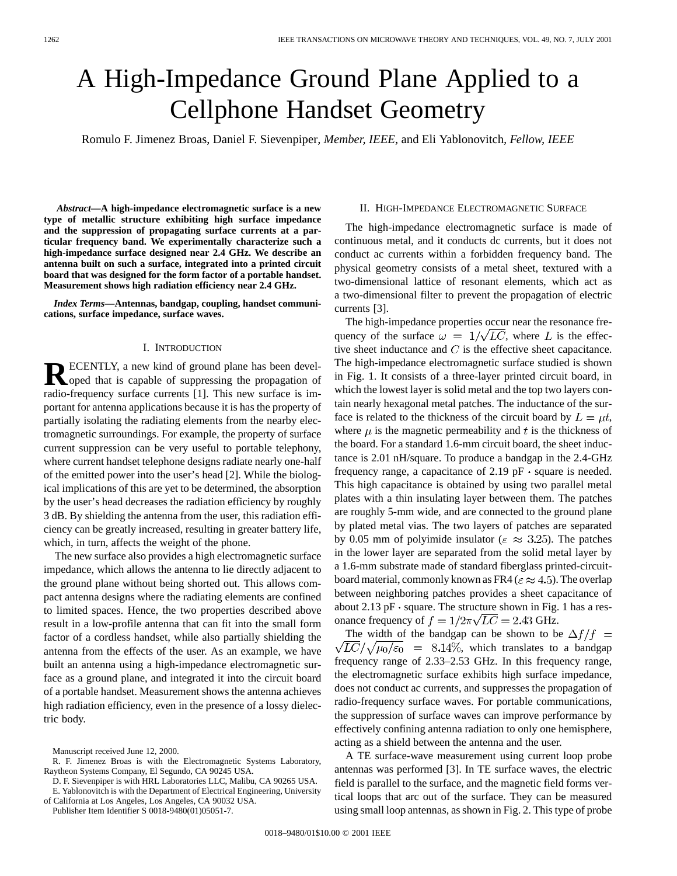# A High-Impedance Ground Plane Applied to a Cellphone Handset Geometry

Romulo F. Jimenez Broas, Daniel F. Sievenpiper*, Member, IEEE*, and Eli Yablonovitch*, Fellow, IEEE*

*Abstract—***A high-impedance electromagnetic surface is a new type of metallic structure exhibiting high surface impedance and the suppression of propagating surface currents at a particular frequency band. We experimentally characterize such a high-impedance surface designed near 2.4 GHz. We describe an antenna built on such a surface, integrated into a printed circuit board that was designed for the form factor of a portable handset. Measurement shows high radiation efficiency near 2.4 GHz.**

*Index Terms—***Antennas, bandgap, coupling, handset communications, surface impedance, surface waves.**

### I. INTRODUCTION

**RECENTLY**, a new kind of ground plane has been developed that is capable of suppressing the propagation of radio-frequency surface currents [1]. This new surface is important for antenna applications because it is has the property of partially isolating the radiating elements from the nearby electromagnetic surroundings. For example, the property of surface current suppression can be very useful to portable telephony, where current handset telephone designs radiate nearly one-half of the emitted power into the user's head [2]. While the biological implications of this are yet to be determined, the absorption by the user's head decreases the radiation efficiency by roughly 3 dB. By shielding the antenna from the user, this radiation efficiency can be greatly increased, resulting in greater battery life, which, in turn, affects the weight of the phone.

The new surface also provides a high electromagnetic surface impedance, which allows the antenna to lie directly adjacent to the ground plane without being shorted out. This allows compact antenna designs where the radiating elements are confined to limited spaces. Hence, the two properties described above result in a low-profile antenna that can fit into the small form factor of a cordless handset, while also partially shielding the antenna from the effects of the user. As an example, we have built an antenna using a high-impedance electromagnetic surface as a ground plane, and integrated it into the circuit board of a portable handset. Measurement shows the antenna achieves high radiation efficiency, even in the presence of a lossy dielectric body.

of California at Los Angeles, Los Angeles, CA 90032 USA.

Publisher Item Identifier S 0018-9480(01)05051-7.

## II. HIGH-IMPEDANCE ELECTROMAGNETIC SURFACE

The high-impedance electromagnetic surface is made of continuous metal, and it conducts dc currents, but it does not conduct ac currents within a forbidden frequency band. The physical geometry consists of a metal sheet, textured with a two-dimensional lattice of resonant elements, which act as a two-dimensional filter to prevent the propagation of electric currents [3].

The high-impedance properties occur near the resonance frequency of the surface  $\omega = 1/\sqrt{LC}$ , where L is the effective sheet inductance and  $C$  is the effective sheet capacitance. The high-impedance electromagnetic surface studied is shown in Fig. 1. It consists of a three-layer printed circuit board, in which the lowest layer is solid metal and the top two layers contain nearly hexagonal metal patches. The inductance of the surface is related to the thickness of the circuit board by  $L = \mu t$ , where  $\mu$  is the magnetic permeability and t is the thickness of the board. For a standard 1.6-mm circuit board, the sheet inductance is 2.01 nH/square. To produce a bandgap in the 2.4-GHz frequency range, a capacitance of 2.19  $pF \cdot$  square is needed. This high capacitance is obtained by using two parallel metal plates with a thin insulating layer between them. The patches are roughly 5-mm wide, and are connected to the ground plane by plated metal vias. The two layers of patches are separated by 0.05 mm of polyimide insulator ( $\epsilon \approx 3.25$ ). The patches in the lower layer are separated from the solid metal layer by a 1.6-mm substrate made of standard fiberglass printed-circuitboard material, commonly known as FR4 ( $\varepsilon \approx 4.5$ ). The overlap between neighboring patches provides a sheet capacitance of about 2.13 pF  $\cdot$  square. The structure shown in Fig. 1 has a resonance frequency of  $f = 1/2\pi\sqrt{LC} = 2.43$  GHz.

The width of the bandgap can be shown to be  $\Delta f/f =$  $\sqrt{LC}/\sqrt{\mu_0/\epsilon_0}$  = 8.14%, which translates to a bandgap frequency range of 2.33–2.53 GHz. In this frequency range, the electromagnetic surface exhibits high surface impedance, does not conduct ac currents, and suppresses the propagation of radio-frequency surface waves. For portable communications, the suppression of surface waves can improve performance by effectively confining antenna radiation to only one hemisphere, acting as a shield between the antenna and the user.

A TE surface-wave measurement using current loop probe antennas was performed [3]. In TE surface waves, the electric field is parallel to the surface, and the magnetic field forms vertical loops that arc out of the surface. They can be measured using small loop antennas, as shown in Fig. 2. This type of probe

Manuscript received June 12, 2000.

R. F. Jimenez Broas is with the Electromagnetic Systems Laboratory, Raytheon Systems Company, El Segundo, CA 90245 USA.

D. F. Sievenpiper is with HRL Laboratories LLC, Malibu, CA 90265 USA. E. Yablonovitch is with the Department of Electrical Engineering, University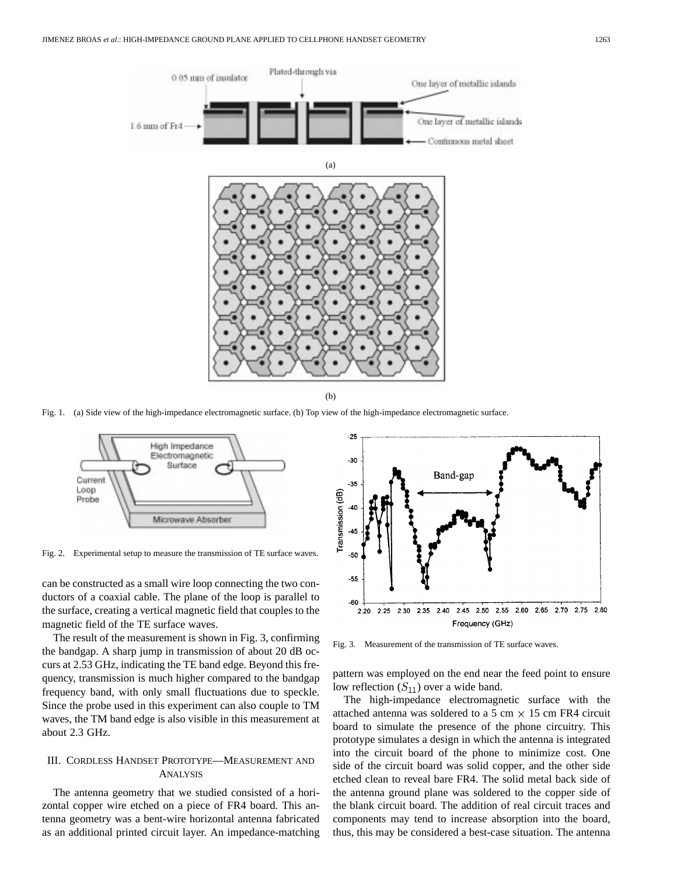

Fig. 1. (a) Side view of the high-impedance electromagnetic surface. (b) Top view of the high-impedance electromagnetic surface.



Fig. 2. Experimental setup to measure the transmission of TE surface waves.

can be constructed as a small wire loop connecting the two conductors of a coaxial cable. The plane of the loop is parallel to the surface, creating a vertical magnetic field that couples to the magnetic field of the TE surface waves.

The result of the measurement is shown in Fig. 3, confirming the bandgap. A sharp jump in transmission of about 20 dB occurs at 2.53 GHz, indicating the TE band edge. Beyond this frequency, transmission is much higher compared to the bandgap frequency band, with only small fluctuations due to speckle. Since the probe used in this experiment can also couple to TM waves, the TM band edge is also visible in this measurement at about 2.3 GHz.

# III. CORDLESS HANDSET PROTOTYPE—MEASUREMENT AND ANALYSIS

The antenna geometry that we studied consisted of a horizontal copper wire etched on a piece of FR4 board. This antenna geometry was a bent-wire horizontal antenna fabricated as an additional printed circuit layer. An impedance-matching



Fig. 3. Measurement of the transmission of TE surface waves.

pattern was employed on the end near the feed point to ensure low reflection  $(S_{11})$  over a wide band.

The high-impedance electromagnetic surface with the attached antenna was soldered to a 5 cm  $\times$  15 cm FR4 circuit board to simulate the presence of the phone circuitry. This prototype simulates a design in which the antenna is integrated into the circuit board of the phone to minimize cost. One side of the circuit board was solid copper, and the other side etched clean to reveal bare FR4. The solid metal back side of the antenna ground plane was soldered to the copper side of the blank circuit board. The addition of real circuit traces and components may tend to increase absorption into the board, thus, this may be considered a best-case situation. The antenna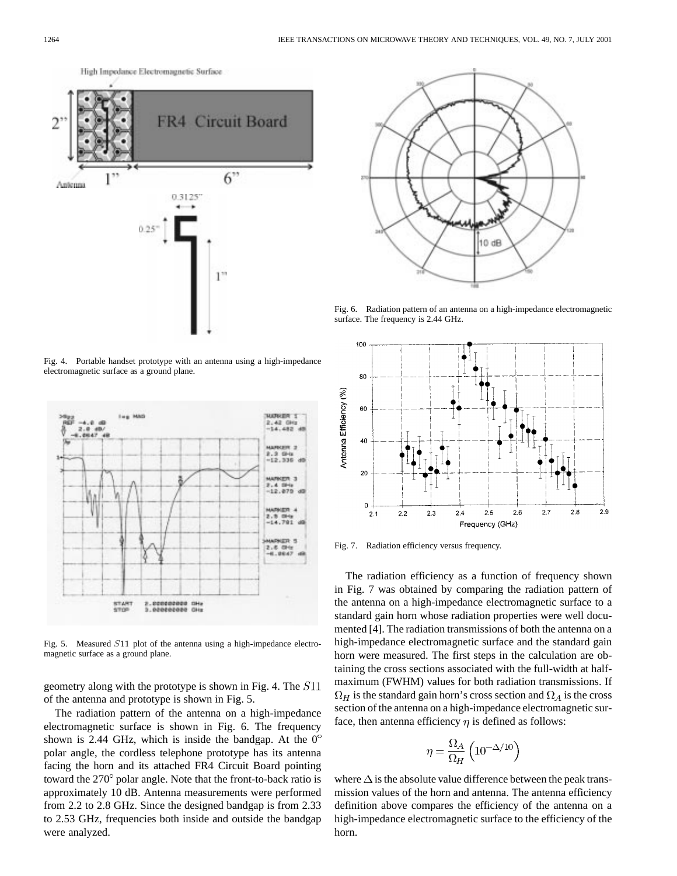

Fig. 4. Portable handset prototype with an antenna using a high-impedance electromagnetic surface as a ground plane.



Fig. 5. Measured S11 plot of the antenna using a high-impedance electromagnetic surface as a ground plane.

geometry along with the prototype is shown in Fig. 4. The of the antenna and prototype is shown in Fig. 5.

The radiation pattern of the antenna on a high-impedance electromagnetic surface is shown in Fig. 6. The frequency shown is 2.44 GHz, which is inside the bandgap. At the  $0^{\circ}$ polar angle, the cordless telephone prototype has its antenna facing the horn and its attached FR4 Circuit Board pointing toward the  $270^{\circ}$  polar angle. Note that the front-to-back ratio is approximately 10 dB. Antenna measurements were performed from 2.2 to 2.8 GHz. Since the designed bandgap is from 2.33 to 2.53 GHz, frequencies both inside and outside the bandgap were analyzed.



Fig. 6. Radiation pattern of an antenna on a high-impedance electromagnetic surface. The frequency is 2.44 GHz.



Fig. 7. Radiation efficiency versus frequency.

The radiation efficiency as a function of frequency shown in Fig. 7 was obtained by comparing the radiation pattern of the antenna on a high-impedance electromagnetic surface to a standard gain horn whose radiation properties were well documented [4]. The radiation transmissions of both the antenna on a high-impedance electromagnetic surface and the standard gain horn were measured. The first steps in the calculation are obtaining the cross sections associated with the full-width at halfmaximum (FWHM) values for both radiation transmissions. If  $\Omega_H$  is the standard gain horn's cross section and  $\Omega_A$  is the cross section of the antenna on a high-impedance electromagnetic surface, then antenna efficiency  $\eta$  is defined as follows:

$$
\eta = \frac{\Omega_A}{\Omega_H} \left( 10^{-\Delta/10} \right)
$$

where  $\Delta$  is the absolute value difference between the peak transmission values of the horn and antenna. The antenna efficiency definition above compares the efficiency of the antenna on a high-impedance electromagnetic surface to the efficiency of the horn.